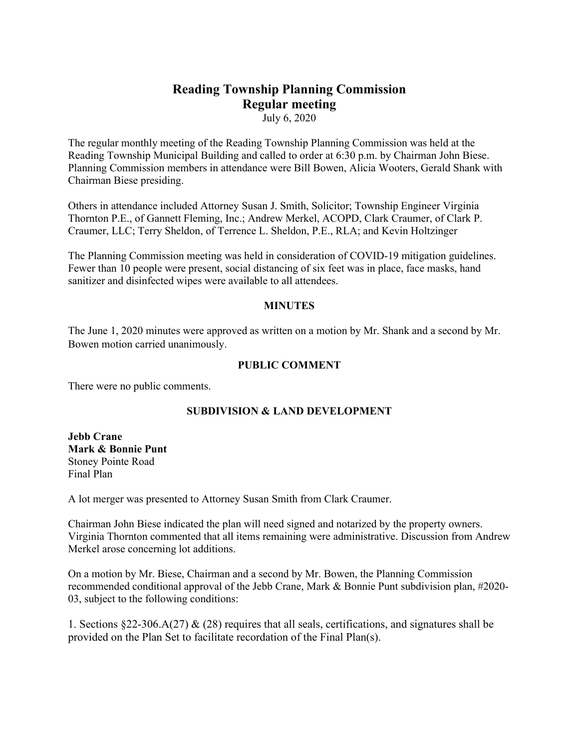# **Reading Township Planning Commission Regular meeting**

July 6, 2020

The regular monthly meeting of the Reading Township Planning Commission was held at the Reading Township Municipal Building and called to order at 6:30 p.m. by Chairman John Biese. Planning Commission members in attendance were Bill Bowen, Alicia Wooters, Gerald Shank with Chairman Biese presiding.

Others in attendance included Attorney Susan J. Smith, Solicitor; Township Engineer Virginia Thornton P.E., of Gannett Fleming, Inc.; Andrew Merkel, ACOPD, Clark Craumer, of Clark P. Craumer, LLC; Terry Sheldon, of Terrence L. Sheldon, P.E., RLA; and Kevin Holtzinger

The Planning Commission meeting was held in consideration of COVID-19 mitigation guidelines. Fewer than 10 people were present, social distancing of six feet was in place, face masks, hand sanitizer and disinfected wipes were available to all attendees.

#### **MINUTES**

The June 1, 2020 minutes were approved as written on a motion by Mr. Shank and a second by Mr. Bowen motion carried unanimously.

#### **PUBLIC COMMENT**

There were no public comments.

## **SUBDIVISION & LAND DEVELOPMENT**

**Jebb Crane Mark & Bonnie Punt** Stoney Pointe Road Final Plan

A lot merger was presented to Attorney Susan Smith from Clark Craumer.

Chairman John Biese indicated the plan will need signed and notarized by the property owners. Virginia Thornton commented that all items remaining were administrative. Discussion from Andrew Merkel arose concerning lot additions.

On a motion by Mr. Biese, Chairman and a second by Mr. Bowen, the Planning Commission recommended conditional approval of the Jebb Crane, Mark & Bonnie Punt subdivision plan, #2020- 03, subject to the following conditions:

1. Sections §22-306.A(27) & (28) requires that all seals, certifications, and signatures shall be provided on the Plan Set to facilitate recordation of the Final Plan(s).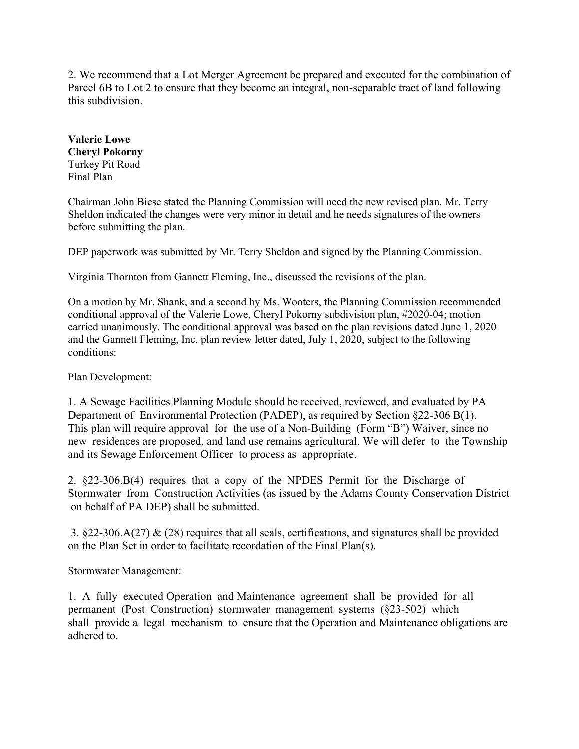2. We recommend that a Lot Merger Agreement be prepared and executed for the combination of Parcel 6B to Lot 2 to ensure that they become an integral, non-separable tract of land following this subdivision.

**Valerie Lowe Cheryl Pokorny** Turkey Pit Road Final Plan

Chairman John Biese stated the Planning Commission will need the new revised plan. Mr. Terry Sheldon indicated the changes were very minor in detail and he needs signatures of the owners before submitting the plan.

DEP paperwork was submitted by Mr. Terry Sheldon and signed by the Planning Commission.

Virginia Thornton from Gannett Fleming, Inc., discussed the revisions of the plan.

On a motion by Mr. Shank, and a second by Ms. Wooters, the Planning Commission recommended conditional approval of the Valerie Lowe, Cheryl Pokorny subdivision plan, #2020-04; motion carried unanimously. The conditional approval was based on the plan revisions dated June 1, 2020 and the Gannett Fleming, Inc. plan review letter dated, July 1, 2020, subject to the following conditions:

Plan Development:

1. A Sewage Facilities Planning Module should be received, reviewed, and evaluated by PA Department of Environmental Protection (PADEP), as required by Section §22-306 B(1). This plan will require approval for the use of a Non-Building (Form "B") Waiver, since no new residences are proposed, and land use remains agricultural. We will defer to the Township and its Sewage Enforcement Officer to process as appropriate.

2. §22-306.B(4) requires that a copy of the NPDES Permit for the Discharge of Stormwater from Construction Activities (as issued by the Adams County Conservation District on behalf of PA DEP) shall be submitted.

3. §22‐306.A(27) & (28) requires that all seals, certifications, and signatures shall be provided on the Plan Set in order to facilitate recordation of the Final Plan(s).

Stormwater Management:

1. A fully executed Operation and Maintenance agreement shall be provided for all permanent (Post Construction) stormwater management systems (§23-502) which shall provide a legal mechanism to ensure that the Operation and Maintenance obligations are adhered to.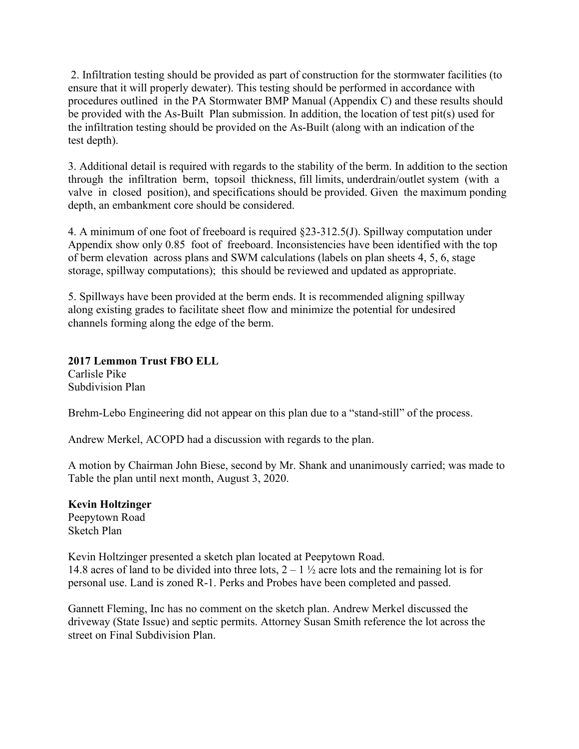2. Infiltration testing should be provided as part of construction for the stormwater facilities (to ensure that it will properly dewater). This testing should be performed in accordance with procedures outlined in the PA Stormwater BMP Manual (Appendix C) and these results should be provided with the As-Built Plan submission. In addition, the location of test pit(s) used for the infiltration testing should be provided on the As-Built (along with an indication of the test depth).

3. Additional detail is required with regards to the stability of the berm. In addition to the section through the infiltration berm, topsoil thickness, fill limits, underdrain/outlet system (with a valve in closed position), and specifications should be provided. Given the maximum ponding depth, an embankment core should be considered.

4. A minimum of one foot of freeboard is required §23‐312.5(J). Spillway computation under Appendix show only 0.85 foot of freeboard. Inconsistencies have been identified with the top of berm elevation across plans and SWM calculations (labels on plan sheets 4, 5, 6, stage storage, spillway computations); this should be reviewed and updated as appropriate.

5. Spillways have been provided at the berm ends. It is recommended aligning spillway along existing grades to facilitate sheet flow and minimize the potential for undesired channels forming along the edge of the berm.

**2017 Lemmon Trust FBO ELL** Carlisle Pike Subdivision Plan

Brehm-Lebo Engineering did not appear on this plan due to a "stand-still" of the process.

Andrew Merkel, ACOPD had a discussion with regards to the plan.

A motion by Chairman John Biese, second by Mr. Shank and unanimously carried; was made to Table the plan until next month, August 3, 2020.

## **Kevin Holtzinger**

Peepytown Road Sketch Plan

Kevin Holtzinger presented a sketch plan located at Peepytown Road. 14.8 acres of land to be divided into three lots,  $2 - 1\frac{1}{2}$  acre lots and the remaining lot is for personal use. Land is zoned R-1. Perks and Probes have been completed and passed.

Gannett Fleming, Inc has no comment on the sketch plan. Andrew Merkel discussed the driveway (State Issue) and septic permits. Attorney Susan Smith reference the lot across the street on Final Subdivision Plan.